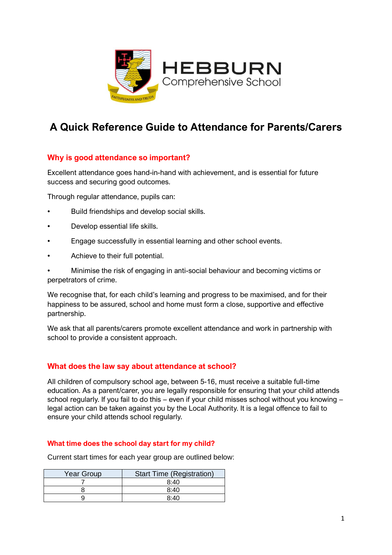

# **A Quick Reference Guide to Attendance for Parents/Carers**

# **Why is good attendance so important?**

Excellent attendance goes hand-in-hand with achievement, and is essential for future success and securing good outcomes.

Through regular attendance, pupils can:

- Build friendships and develop social skills.
- Develop essential life skills.
- Engage successfully in essential learning and other school events.
- Achieve to their full potential.

• Minimise the risk of engaging in anti-social behaviour and becoming victims or perpetrators of crime.

We recognise that, for each child's learning and progress to be maximised, and for their happiness to be assured, school and home must form a close, supportive and effective partnership.

We ask that all parents/carers promote excellent attendance and work in partnership with school to provide a consistent approach.

## **What does the law say about attendance at school?**

All children of compulsory school age, between 5-16, must receive a suitable full-time education. As a parent/carer, you are legally responsible for ensuring that your child attends school regularly. If you fail to do this – even if your child misses school without you knowing – legal action can be taken against you by the Local Authority. It is a legal offence to fail to ensure your child attends school regularly.

## **What time does the school day start for my child?**

Current start times for each year group are outlined below:

| <b>Year Group</b> | <b>Start Time (Registration)</b> |
|-------------------|----------------------------------|
|                   | 8:40                             |
|                   | 8:40                             |
|                   | Ջ∙4Ր                             |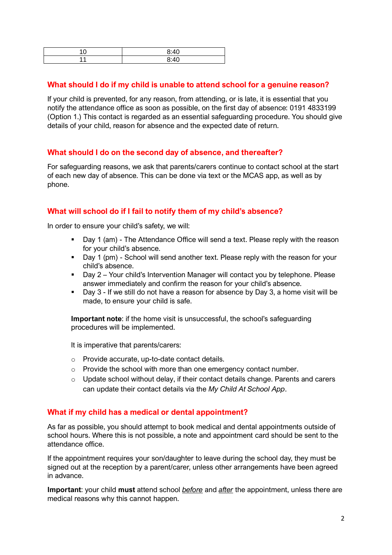| 9.10 |
|------|
| 9.10 |

#### **What should I do if my child is unable to attend school for a genuine reason?**

If your child is prevented, for any reason, from attending, or is late, it is essential that you notify the attendance office as soon as possible, on the first day of absence: 0191 4833199 (Option 1.) This contact is regarded as an essential safeguarding procedure. You should give details of your child, reason for absence and the expected date of return.

## **What should I do on the second day of absence, and thereafter?**

For safeguarding reasons, we ask that parents/carers continue to contact school at the start of each new day of absence. This can be done via text or the MCAS app, as well as by phone.

## **What will school do if I fail to notify them of my child's absence?**

In order to ensure your child's safety, we will:

- Day 1 (am) The Attendance Office will send a text. Please reply with the reason for your child's absence.
- Day 1 (pm) School will send another text. Please reply with the reason for your child's absence.
- Day 2 Your child's Intervention Manager will contact you by telephone. Please answer immediately and confirm the reason for your child's absence.
- Day 3 If we still do not have a reason for absence by Day 3, a home visit will be made, to ensure your child is safe.

**Important note**: if the home visit is unsuccessful, the school's safeguarding procedures will be implemented.

It is imperative that parents/carers:

- o Provide accurate, up-to-date contact details.
- o Provide the school with more than one emergency contact number.
- $\circ$  Update school without delay, if their contact details change. Parents and carers can update their contact details via the *My Child At School App*.

#### **What if my child has a medical or dental appointment?**

As far as possible, you should attempt to book medical and dental appointments outside of school hours. Where this is not possible, a note and appointment card should be sent to the attendance office.

If the appointment requires your son/daughter to leave during the school day, they must be signed out at the reception by a parent/carer, unless other arrangements have been agreed in advance.

**Important**: your child **must** attend school *before* and *after* the appointment, unless there are medical reasons why this cannot happen.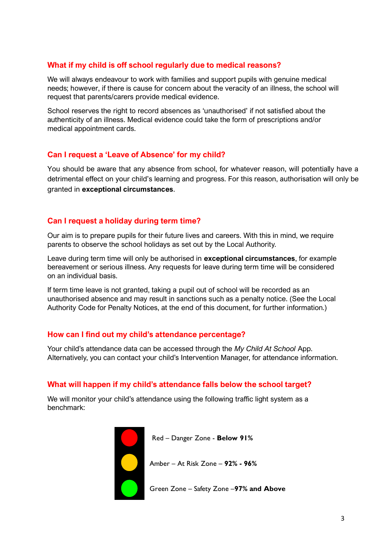# **What if my child is off school regularly due to medical reasons?**

We will always endeavour to work with families and support pupils with genuine medical needs; however, if there is cause for concern about the veracity of an illness, the school will request that parents/carers provide medical evidence.

School reserves the right to record absences as 'unauthorised' if not satisfied about the authenticity of an illness. Medical evidence could take the form of prescriptions and/or medical appointment cards.

# **Can I request a 'Leave of Absence' for my child?**

You should be aware that any absence from school, for whatever reason, will potentially have a detrimental effect on your child's learning and progress. For this reason, authorisation will only be granted in **exceptional circumstances**.

# **Can I request a holiday during term time?**

Our aim is to prepare pupils for their future lives and careers. With this in mind, we require parents to observe the school holidays as set out by the Local Authority.

Leave during term time will only be authorised in **exceptional circumstances**, for example bereavement or serious illness. Any requests for leave during term time will be considered on an individual basis.

If term time leave is not granted, taking a pupil out of school will be recorded as an unauthorised absence and may result in sanctions such as a penalty notice. (See the Local Authority Code for Penalty Notices, at the end of this document, for further information.)

# **How can I find out my child's attendance percentage?**

Your child's attendance data can be accessed through the *My Child At School* App. Alternatively, you can contact your child's Intervention Manager, for attendance information.

## **What will happen if my child's attendance falls below the school target?**

We will monitor your child's attendance using the following traffic light system as a benchmark:



Red – Danger Zone - **Below 91%**

Amber – At Risk Zone – **92% - 96%**

Green Zone – Safety Zone –**97% and Above**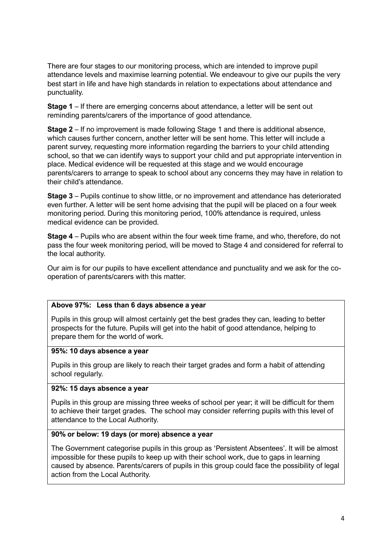There are four stages to our monitoring process, which are intended to improve pupil attendance levels and maximise learning potential. We endeavour to give our pupils the very best start in life and have high standards in relation to expectations about attendance and punctuality.

**Stage 1** – If there are emerging concerns about attendance, a letter will be sent out reminding parents/carers of the importance of good attendance.

**Stage 2** – If no improvement is made following Stage 1 and there is additional absence, which causes further concern, another letter will be sent home. This letter will include a parent survey, requesting more information regarding the barriers to your child attending school, so that we can identify ways to support your child and put appropriate intervention in place. Medical evidence will be requested at this stage and we would encourage parents/carers to arrange to speak to school about any concerns they may have in relation to their child's attendance.

**Stage 3** – Pupils continue to show little, or no improvement and attendance has deteriorated even further. A letter will be sent home advising that the pupil will be placed on a four week monitoring period. During this monitoring period, 100% attendance is required, unless medical evidence can be provided.

**Stage 4** – Pupils who are absent within the four week time frame, and who, therefore, do not pass the four week monitoring period, will be moved to Stage 4 and considered for referral to the local authority.

Our aim is for our pupils to have excellent attendance and punctuality and we ask for the cooperation of parents/carers with this matter.

#### **Above 97%: Less than 6 days absence a year**

Pupils in this group will almost certainly get the best grades they can, leading to better prospects for the future. Pupils will get into the habit of good attendance, helping to prepare them for the world of work.

#### **95%: 10 days absence a year**

Pupils in this group are likely to reach their target grades and form a habit of attending school regularly.

#### **92%: 15 days absence a year**

Pupils in this group are missing three weeks of school per year; it will be difficult for them to achieve their target grades. The school may consider referring pupils with this level of attendance to the Local Authority.

#### **90% or below: 19 days (or more) absence a year**

The Government categorise pupils in this group as 'Persistent Absentees'. It will be almost impossible for these pupils to keep up with their school work, due to gaps in learning caused by absence. Parents/carers of pupils in this group could face the possibility of legal action from the Local Authority.